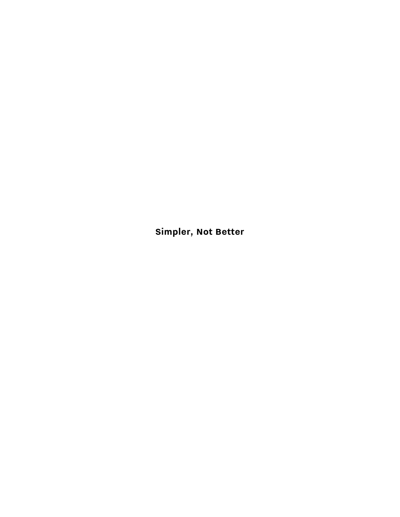**Simpler, Not Better**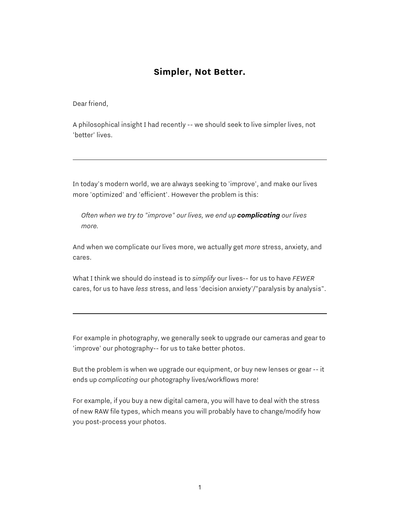# **Simpler, Not Better.**

Dear friend,

A philosophical insight I had recently -- we should seek to live simpler lives, not 'better' lives.

In today's modern world, we are always seeking to 'improve', and make our lives more 'optimized' and 'efficient'. However the problem is this:

*Often when we try to "improve" our lives, we end up complicating our lives more.*

And when we complicate our lives more, we actually get *more* stress, anxiety, and cares.

What I think we should do instead is to *simplify* our lives-- for us to have *FEWER* cares, for us to have *less* stress, and less 'decision anxiety'/"paralysis by analysis".

For example in photography, we generally seek to upgrade our cameras and gear to 'improve' our photography-- for us to take better photos.

But the problem is when we upgrade our equipment, or buy new lenses or gear -- it ends up *complicating* our photography lives/workflows more!

For example, if you buy a new digital camera, you will have to deal with the stress of new RAW file types, which means you will probably have to change/modify how you post-process your photos.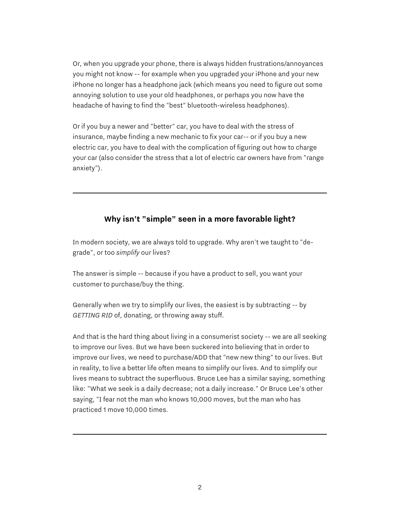Or, when you upgrade your phone, there is always hidden frustrations/annoyances you might not know -- for example when you upgraded your iPhone and your new iPhone no longer has a headphone jack (which means you need to figure out some annoying solution to use your old headphones, or perhaps you now have the headache of having to find the "best" bluetooth-wireless headphones).

Or if you buy a newer and "better" car, you have to deal with the stress of insurance, maybe finding a new mechanic to fix your car-- or if you buy a new electric car, you have to deal with the complication of figuring out how to charge your car (also consider the stress that a lot of electric car owners have from "range anxiety").

#### **Why isn't "simple" seen in a more favorable light?**

In modern society, we are always told to upgrade. Why aren't we taught to "degrade", or too *simplify* our lives?

The answer is simple -- because if you have a product to sell, you want your customer to purchase/buy the thing.

Generally when we try to simplify our lives, the easiest is by subtracting -- by *GETTING RID* of, donating, or throwing away stuff.

And that is the hard thing about living in a consumerist society -- we are all seeking to improve our lives. But we have been suckered into believing that in order to improve our lives, we need to purchase/ADD that "new new thing" to our lives. But in reality, to live a better life often means to simplify our lives. And to simplify our lives means to subtract the superfluous. Bruce Lee has a similar saying, something like: "What we seek is a daily decrease; not a daily increase." Or Bruce Lee's other saying, "I fear not the man who knows 10,000 moves, but the man who has practiced 1 move 10,000 times.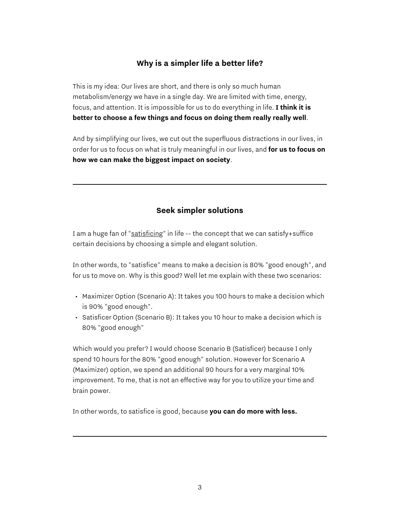## **Why is a simpler life a better life?**

This is my idea: Our lives are short, and there is only so much human metabolism/energy we have in a single day. We are limited with time, energy, focus, and attention. It is impossible for us to do everything in life. **I think it is better to choose a few things and focus on doing them really really well**.

And by simplifying our lives, we cut out the superfluous distractions in our lives, in order for us to focus on what is truly meaningful in our lives, and **for us to focus on how we can make the biggest impact on society**.

## **Seek simpler solutions**

I am a huge fan of "[satisficing"](https://en.wikipedia.org/wiki/Satisficing) in life -- the concept that we can satisfy+suffice certain decisions by choosing a simple and elegant solution.

In other words, to "satisfice" means to make a decision is 80% "good enough", and for us to move on. Why is this good? Well let me explain with these two scenarios:

- Maximizer Option (Scenario A): It takes you 100 hours to make a decision which is 90% "good enough".
- Satisficer Option (Scenario B): It takes you 10 hour to make a decision which is 80% "good enough"

Which would you prefer? I would choose Scenario B (Satisficer) because I only spend 10 hours for the 80% "good enough" solution. However for Scenario A (Maximizer) option, we spend an additional 90 hours for a very marginal 10% improvement. To me, that is not an effective way for you to utilize your time and brain power.

In other words, to satisfice is good, because **you can do more with less.**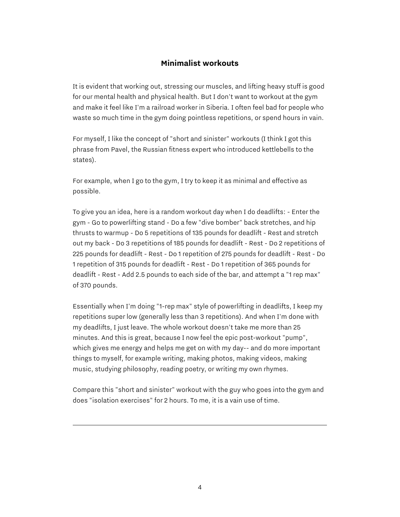#### **Minimalist workouts**

It is evident that working out, stressing our muscles, and lifting heavy stuff is good for our mental health and physical health. But I don't want to workout at the gym and make it feel like I'm a railroad worker in Siberia. I often feel bad for people who waste so much time in the gym doing pointless repetitions, or spend hours in vain.

For myself, I like the concept of "short and sinister" workouts (I think I got this phrase from Pavel, the Russian fitness expert who introduced kettlebells to the states).

For example, when I go to the gym, I try to keep it as minimal and effective as possible.

To give you an idea, here is a random workout day when I do deadlifts: - Enter the gym - Go to powerlifting stand - Do a few "dive bomber" back stretches, and hip thrusts to warmup - Do 5 repetitions of 135 pounds for deadlift - Rest and stretch out my back - Do 3 repetitions of 185 pounds for deadlift - Rest - Do 2 repetitions of 225 pounds for deadlift - Rest - Do 1 repetition of 275 pounds for deadlift - Rest - Do 1 repetition of 315 pounds for deadlift - Rest - Do 1 repetition of 365 pounds for deadlift - Rest - Add 2.5 pounds to each side of the bar, and attempt a "1 rep max" of 370 pounds.

Essentially when I'm doing "1-rep max" style of powerlifting in deadlifts, I keep my repetitions super low (generally less than 3 repetitions). And when I'm done with my deadlifts, I just leave. The whole workout doesn't take me more than 25 minutes. And this is great, because I now feel the epic post-workout "pump", which gives me energy and helps me get on with my day-- and do more important things to myself, for example writing, making photos, making videos, making music, studying philosophy, reading poetry, or writing my own rhymes.

Compare this "short and sinister" workout with the guy who goes into the gym and does "isolation exercises" for 2 hours. To me, it is a vain use of time.